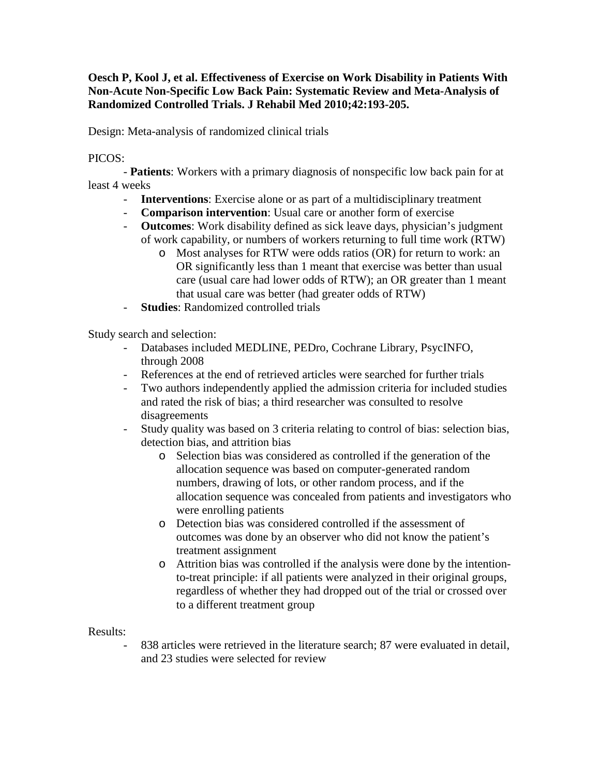**Oesch P, Kool J, et al. Effectiveness of Exercise on Work Disability in Patients With Non-Acute Non-Specific Low Back Pain: Systematic Review and Meta-Analysis of Randomized Controlled Trials. J Rehabil Med 2010;42:193-205.**

Design: Meta-analysis of randomized clinical trials

PICOS:

- **Patients**: Workers with a primary diagnosis of nonspecific low back pain for at least 4 weeks

- **Interventions**: Exercise alone or as part of a multidisciplinary treatment
- **Comparison intervention**: Usual care or another form of exercise
- **Outcomes**: Work disability defined as sick leave days, physician's judgment of work capability, or numbers of workers returning to full time work (RTW)
	- o Most analyses for RTW were odds ratios (OR) for return to work: an OR significantly less than 1 meant that exercise was better than usual care (usual care had lower odds of RTW); an OR greater than 1 meant that usual care was better (had greater odds of RTW)
- **Studies**: Randomized controlled trials

Study search and selection:

- Databases included MEDLINE, PEDro, Cochrane Library, PsycINFO, through 2008
- References at the end of retrieved articles were searched for further trials
- Two authors independently applied the admission criteria for included studies and rated the risk of bias; a third researcher was consulted to resolve disagreements
- Study quality was based on 3 criteria relating to control of bias: selection bias, detection bias, and attrition bias
	- o Selection bias was considered as controlled if the generation of the allocation sequence was based on computer-generated random numbers, drawing of lots, or other random process, and if the allocation sequence was concealed from patients and investigators who were enrolling patients
	- o Detection bias was considered controlled if the assessment of outcomes was done by an observer who did not know the patient's treatment assignment
	- o Attrition bias was controlled if the analysis were done by the intentionto-treat principle: if all patients were analyzed in their original groups, regardless of whether they had dropped out of the trial or crossed over to a different treatment group

Results:

838 articles were retrieved in the literature search; 87 were evaluated in detail, and 23 studies were selected for review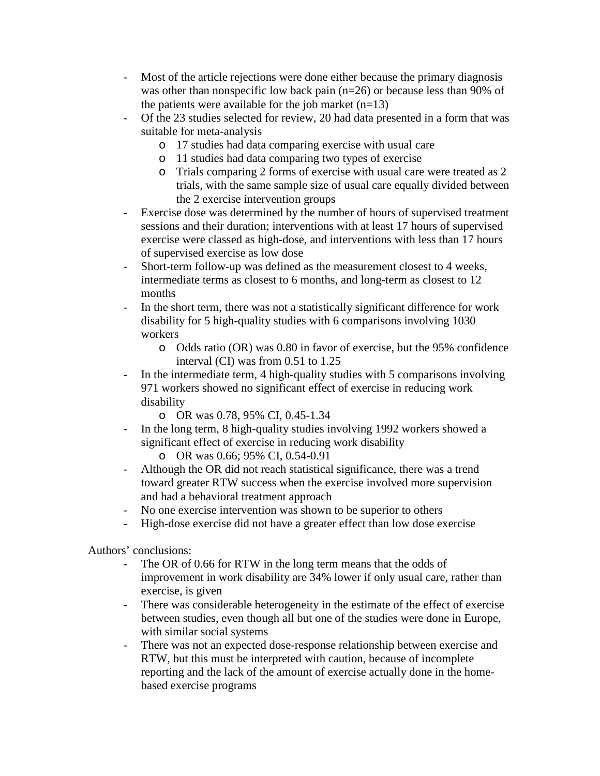- Most of the article rejections were done either because the primary diagnosis was other than nonspecific low back pain (n=26) or because less than 90% of the patients were available for the job market  $(n=13)$
- Of the 23 studies selected for review, 20 had data presented in a form that was suitable for meta-analysis
	- o 17 studies had data comparing exercise with usual care
	- o 11 studies had data comparing two types of exercise
	- o Trials comparing 2 forms of exercise with usual care were treated as 2 trials, with the same sample size of usual care equally divided between the 2 exercise intervention groups
- Exercise dose was determined by the number of hours of supervised treatment sessions and their duration; interventions with at least 17 hours of supervised exercise were classed as high-dose, and interventions with less than 17 hours of supervised exercise as low dose
- Short-term follow-up was defined as the measurement closest to 4 weeks, intermediate terms as closest to 6 months, and long-term as closest to 12 months
- In the short term, there was not a statistically significant difference for work disability for 5 high-quality studies with 6 comparisons involving 1030 workers
	- o Odds ratio (OR) was 0.80 in favor of exercise, but the 95% confidence interval (CI) was from 0.51 to 1.25
- In the intermediate term, 4 high-quality studies with 5 comparisons involving 971 workers showed no significant effect of exercise in reducing work disability
	- o OR was 0.78, 95% CI, 0.45-1.34
- In the long term, 8 high-quality studies involving 1992 workers showed a significant effect of exercise in reducing work disability
	- o OR was 0.66; 95% CI, 0.54-0.91
- Although the OR did not reach statistical significance, there was a trend toward greater RTW success when the exercise involved more supervision and had a behavioral treatment approach
- No one exercise intervention was shown to be superior to others
- High-dose exercise did not have a greater effect than low dose exercise

Authors' conclusions:

- The OR of 0.66 for RTW in the long term means that the odds of improvement in work disability are 34% lower if only usual care, rather than exercise, is given
- There was considerable heterogeneity in the estimate of the effect of exercise between studies, even though all but one of the studies were done in Europe, with similar social systems
- There was not an expected dose-response relationship between exercise and RTW, but this must be interpreted with caution, because of incomplete reporting and the lack of the amount of exercise actually done in the homebased exercise programs